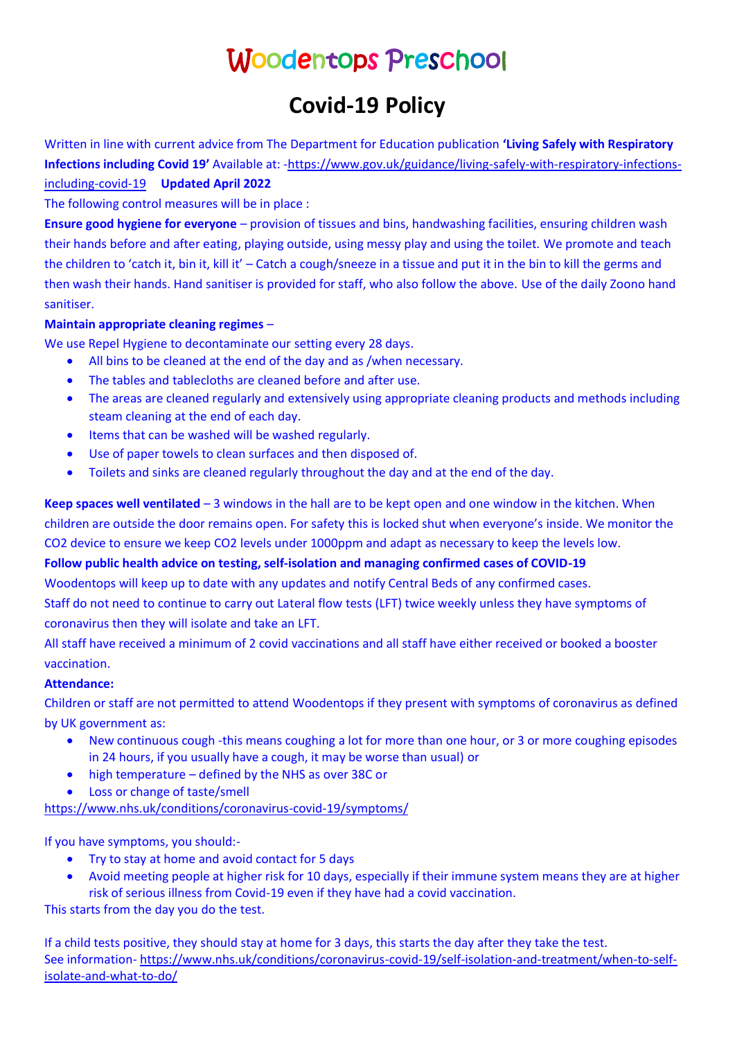# Woodentops Preschool

# **Covid-19 Policy**

Written in line with current advice from The Department for Education publication **'Living Safely with Respiratory Infections including Covid 19'** Available at: [-https://www.gov.uk/guidance/living-safely-with-respiratory-infections](https://www.gov.uk/guidance/living-safely-with-respiratory-infections-including-covid-19)[including-covid-19](https://www.gov.uk/guidance/living-safely-with-respiratory-infections-including-covid-19) **Updated April 2022**

The following control measures will be in place :

**Ensure good hygiene for everyone** – provision of tissues and bins, handwashing facilities, ensuring children wash their hands before and after eating, playing outside, using messy play and using the toilet. We promote and teach the children to 'catch it, bin it, kill it' – Catch a cough/sneeze in a tissue and put it in the bin to kill the germs and then wash their hands. Hand sanitiser is provided for staff, who also follow the above. Use of the daily Zoono hand sanitiser.

#### **Maintain appropriate cleaning regimes** –

We use Repel Hygiene to decontaminate our setting every 28 days.

- All bins to be cleaned at the end of the day and as /when necessary.
- The tables and tablecloths are cleaned before and after use.
- The areas are cleaned regularly and extensively using appropriate cleaning products and methods including steam cleaning at the end of each day.
- Items that can be washed will be washed regularly.
- Use of paper towels to clean surfaces and then disposed of.
- Toilets and sinks are cleaned regularly throughout the day and at the end of the day.

**Keep spaces well ventilated** – 3 windows in the hall are to be kept open and one window in the kitchen. When children are outside the door remains open. For safety this is locked shut when everyone's inside. We monitor the CO2 device to ensure we keep CO2 levels under 1000ppm and adapt as necessary to keep the levels low.

## **Follow public health advice on testing, self-isolation and managing confirmed cases of COVID-19**

Woodentops will keep up to date with any updates and notify Central Beds of any confirmed cases.

Staff do not need to continue to carry out Lateral flow tests (LFT) twice weekly unless they have symptoms of coronavirus then they will isolate and take an LFT.

All staff have received a minimum of 2 covid vaccinations and all staff have either received or booked a booster vaccination.

## **Attendance:**

Children or staff are not permitted to attend Woodentops if they present with symptoms of coronavirus as defined by UK government as:

- New continuous cough -this means coughing a lot for more than one hour, or 3 or more coughing episodes in 24 hours, if you usually have a cough, it may be worse than usual) or
- high temperature defined by the NHS as over 38C or
- Loss or change of taste/smell

<https://www.nhs.uk/conditions/coronavirus-covid-19/symptoms/>

If you have symptoms, you should:-

- Try to stay at home and avoid contact for 5 days
- Avoid meeting people at higher risk for 10 days, especially if their immune system means they are at higher risk of serious illness from Covid-19 even if they have had a covid vaccination.

This starts from the day you do the test.

If a child tests positive, they should stay at home for 3 days, this starts the day after they take the test. See information- [https://www.nhs.uk/conditions/coronavirus-covid-19/self-isolation-and-treatment/when-to-self](https://www.nhs.uk/conditions/coronavirus-covid-19/self-isolation-and-treatment/when-to-self-isolate-and-what-to-do/)[isolate-and-what-to-do/](https://www.nhs.uk/conditions/coronavirus-covid-19/self-isolation-and-treatment/when-to-self-isolate-and-what-to-do/)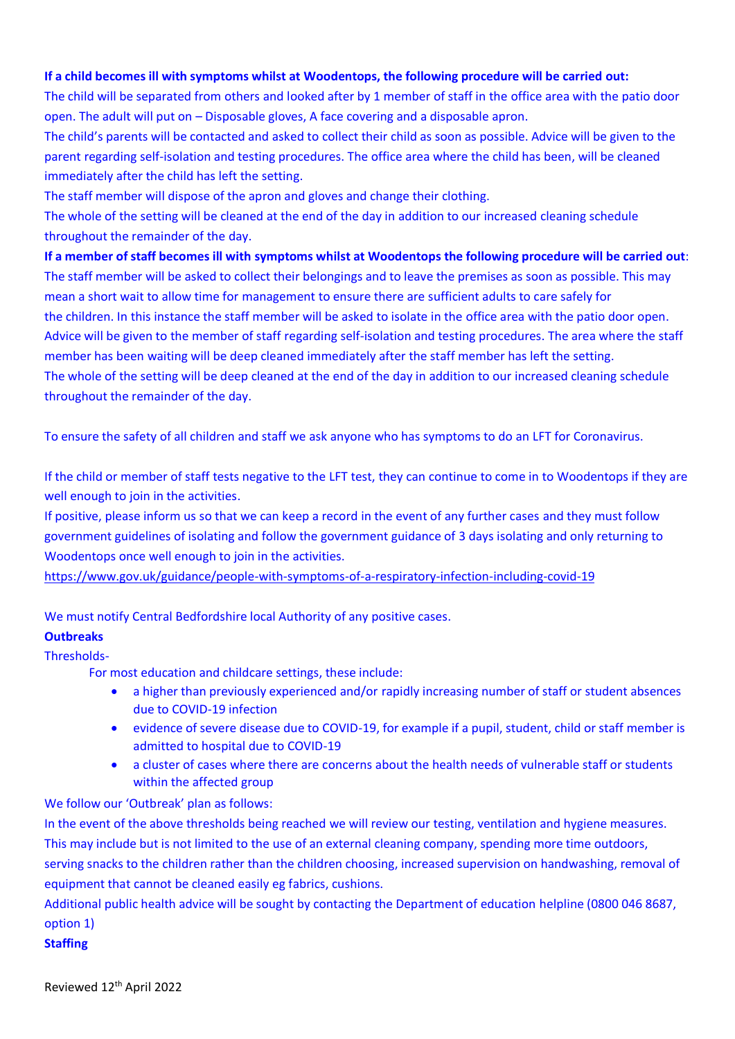#### **If a child becomes ill with symptoms whilst at Woodentops, the following procedure will be carried out:**

The child will be separated from others and looked after by 1 member of staff in the office area with the patio door open. The adult will put on – Disposable gloves, A face covering and a disposable apron.

The child's parents will be contacted and asked to collect their child as soon as possible. Advice will be given to the parent regarding self-isolation and testing procedures. The office area where the child has been, will be cleaned immediately after the child has left the setting.

The staff member will dispose of the apron and gloves and change their clothing.

The whole of the setting will be cleaned at the end of the day in addition to our increased cleaning schedule throughout the remainder of the day.

**If a member of staff becomes ill with symptoms whilst at Woodentops the following procedure will be carried out**: The staff member will be asked to collect their belongings and to leave the premises as soon as possible. This may mean a short wait to allow time for management to ensure there are sufficient adults to care safely for the children. In this instance the staff member will be asked to isolate in the office area with the patio door open. Advice will be given to the member of staff regarding self-isolation and testing procedures. The area where the staff member has been waiting will be deep cleaned immediately after the staff member has left the setting. The whole of the setting will be deep cleaned at the end of the day in addition to our increased cleaning schedule throughout the remainder of the day.

To ensure the safety of all children and staff we ask anyone who has symptoms to do an LFT for Coronavirus.

If the child or member of staff tests negative to the LFT test, they can continue to come in to Woodentops if they are well enough to join in the activities.

If positive, please inform us so that we can keep a record in the event of any further cases and they must follow government guidelines of isolating and follow the government guidance of 3 days isolating and only returning to Woodentops once well enough to join in the activities.

<https://www.gov.uk/guidance/people-with-symptoms-of-a-respiratory-infection-including-covid-19>

We must notify Central Bedfordshire local Authority of any positive cases.

#### **Outbreaks**

Thresholds-

For most education and childcare settings, these include:

- a higher than previously experienced and/or rapidly increasing number of staff or student absences due to COVID-19 infection
- evidence of severe disease due to COVID-19, for example if a pupil, student, child or staff member is admitted to hospital due to COVID-19
- a cluster of cases where there are concerns about the health needs of vulnerable staff or students within the affected group

We follow our 'Outbreak' plan as follows:

In the event of the above thresholds being reached we will review our testing, ventilation and hygiene measures. This may include but is not limited to the use of an external cleaning company, spending more time outdoors, serving snacks to the children rather than the children choosing, increased supervision on handwashing, removal of equipment that cannot be cleaned easily eg fabrics, cushions.

Additional public health advice will be sought by contacting the Department of education helpline (0800 046 8687, option 1)

#### **Staffing**